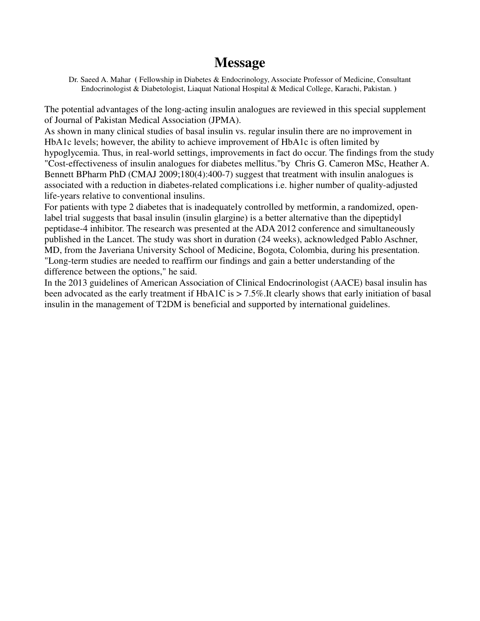## **Message**

Dr. Saeed A. Mahar **(** Fellowship in Diabetes & Endocrinology, Associate Professor of Medicine, Consultant Endocrinologist & Diabetologist, Liaquat National Hospital & Medical College, Karachi, Pakistan. **)** 

The potential advantages of the long-acting insulin analogues are reviewed in this special supplement of Journal of Pakistan Medical Association (JPMA).

As shown in many clinical studies of basal insulin vs. regular insulin there are no improvement in HbA1c levels; however, the ability to achieve improvement of HbA1c is often limited by

hypoglycemia. Thus, in real-world settings, improvements in fact do occur. The findings from the study "Cost-effectiveness of insulin analogues for diabetes mellitus."by Chris G. Cameron MSc, Heather A. Bennett BPharm PhD (CMAJ 2009;180(4):400-7) suggest that treatment with insulin analogues is associated with a reduction in diabetes-related complications i.e. higher number of quality-adjusted life-years relative to conventional insulins.

For patients with type 2 diabetes that is inadequately controlled by metformin, a randomized, openlabel trial suggests that basal insulin (insulin glargine) is a better alternative than the dipeptidyl peptidase-4 inhibitor. The research was presented at the ADA 2012 conference and simultaneously published in the Lancet. The study was short in duration (24 weeks), acknowledged Pablo Aschner, MD, from the Javeriana University School of Medicine, Bogota, Colombia, during his presentation. "Long-term studies are needed to reaffirm our findings and gain a better understanding of the difference between the options," he said.

In the 2013 guidelines of American Association of Clinical Endocrinologist (AACE) basal insulin has been advocated as the early treatment if HbA1C is > 7.5%.It clearly shows that early initiation of basal insulin in the management of T2DM is beneficial and supported by international guidelines.